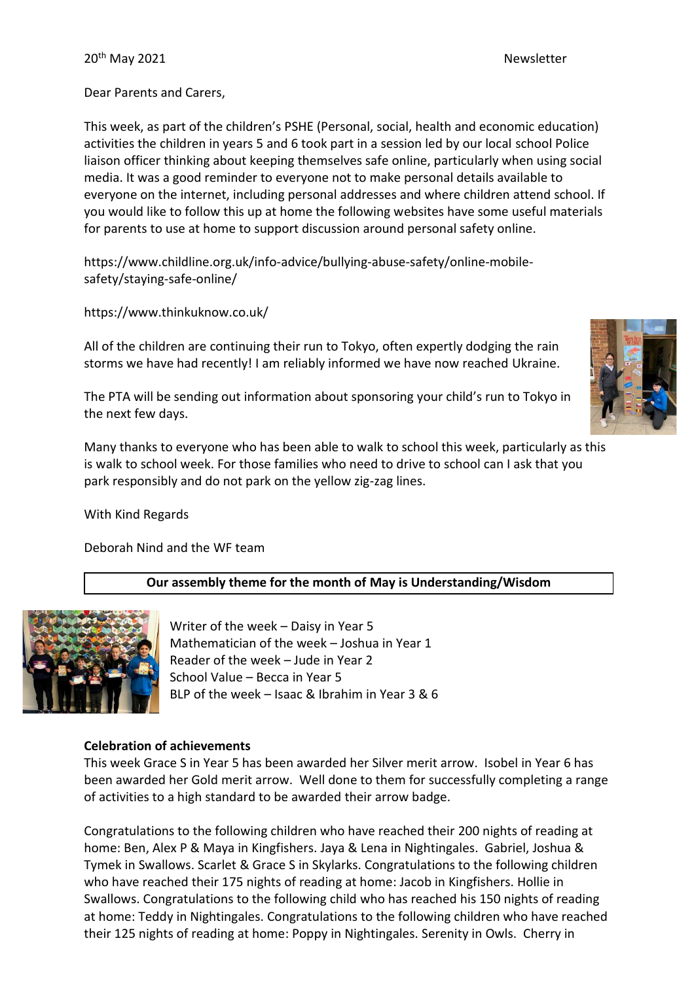Dear Parents and Carers,

This week, as part of the children's PSHE (Personal, social, health and economic education) activities the children in years 5 and 6 took part in a session led by our local school Police liaison officer thinking about keeping themselves safe online, particularly when using social media. It was a good reminder to everyone not to make personal details available to everyone on the internet, including personal addresses and where children attend school. If you would like to follow this up at home the following websites have some useful materials for parents to use at home to support discussion around personal safety online.

https://www.childline.org.uk/info-advice/bullying-abuse-safety/online-mobilesafety/staying-safe-online/

https://www.thinkuknow.co.uk/

All of the children are continuing their run to Tokyo, often expertly dodging the rain storms we have had recently! I am reliably informed we have now reached Ukraine.

The PTA will be sending out information about sponsoring your child's run to Tokyo in the next few days.

Many thanks to everyone who has been able to walk to school this week, particularly as this is walk to school week. For those families who need to drive to school can I ask that you park responsibly and do not park on the yellow zig-zag lines.

With Kind Regards

Deborah Nind and the WF team

# **Our assembly theme for the month of May is Understanding/Wisdom**



Writer of the week – Daisy in Year 5 Mathematician of the week – Joshua in Year 1 Reader of the week – Jude in Year 2 School Value – Becca in Year 5 BLP of the week – Isaac & Ibrahim in Year 3 & 6

# **Celebration of achievements**

This week Grace S in Year 5 has been awarded her Silver merit arrow. Isobel in Year 6 has been awarded her Gold merit arrow. Well done to them for successfully completing a range of activities to a high standard to be awarded their arrow badge.

Congratulations to the following children who have reached their 200 nights of reading at home: Ben, Alex P & Maya in Kingfishers. Jaya & Lena in Nightingales. Gabriel, Joshua & Tymek in Swallows. Scarlet & Grace S in Skylarks. Congratulations to the following children who have reached their 175 nights of reading at home: Jacob in Kingfishers. Hollie in Swallows. Congratulations to the following child who has reached his 150 nights of reading at home: Teddy in Nightingales. Congratulations to the following children who have reached their 125 nights of reading at home: Poppy in Nightingales. Serenity in Owls. Cherry in

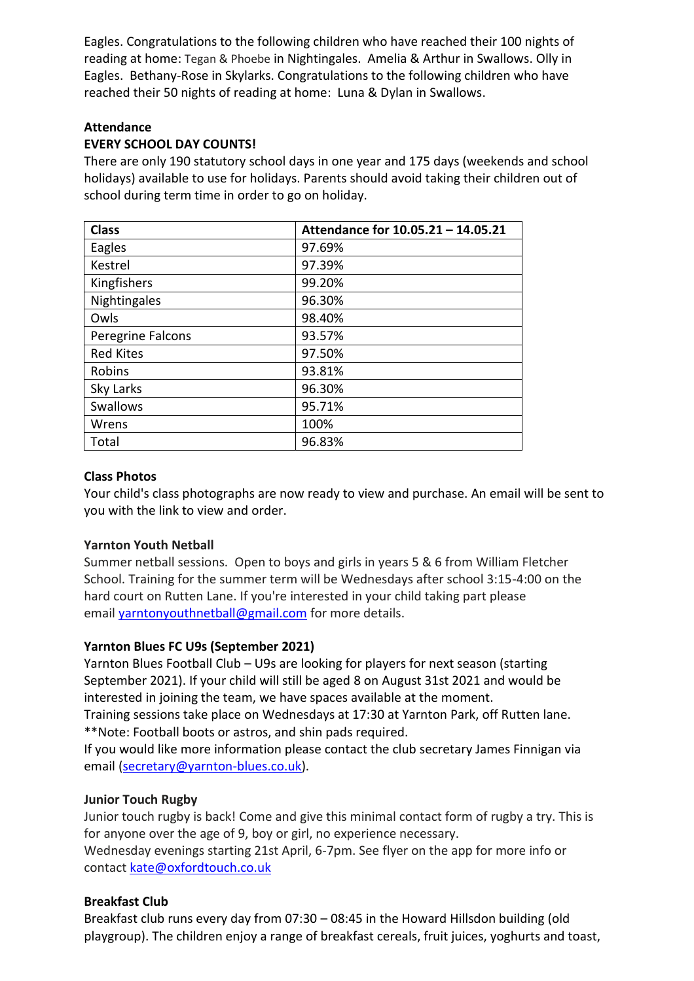Eagles. Congratulations to the following children who have reached their 100 nights of reading at home: Tegan & Phoebe in Nightingales. Amelia & Arthur in Swallows. Olly in Eagles. Bethany-Rose in Skylarks. Congratulations to the following children who have reached their 50 nights of reading at home: Luna & Dylan in Swallows.

# **Attendance**

# **EVERY SCHOOL DAY COUNTS!**

There are only 190 statutory school days in one year and 175 days (weekends and school holidays) available to use for holidays. Parents should avoid taking their children out of school during term time in order to go on holiday.

| <b>Class</b>      | Attendance for 10.05.21 - 14.05.21 |
|-------------------|------------------------------------|
| Eagles            | 97.69%                             |
| Kestrel           | 97.39%                             |
| Kingfishers       | 99.20%                             |
| Nightingales      | 96.30%                             |
| Owls              | 98.40%                             |
| Peregrine Falcons | 93.57%                             |
| <b>Red Kites</b>  | 97.50%                             |
| Robins            | 93.81%                             |
| Sky Larks         | 96.30%                             |
| <b>Swallows</b>   | 95.71%                             |
| Wrens             | 100%                               |
| Total             | 96.83%                             |

#### **Class Photos**

Your child's class photographs are now ready to view and purchase. An email will be sent to you with the link to view and order.

# **Yarnton Youth Netball**

Summer netball sessions. Open to boys and girls in years 5 & 6 from William Fletcher School. Training for the summer term will be Wednesdays after school 3:15-4:00 on the hard court on Rutten Lane. If you're interested in your child taking part please email **[yarntonyouthnetball@gmail.com](mailto:yarntonyouthnetball@gmail.com)** for more details.

# **Yarnton Blues FC U9s (September 2021)**

Yarnton Blues Football Club – U9s are looking for players for next season (starting September 2021). If your child will still be aged 8 on August 31st 2021 and would be interested in joining the team, we have spaces available at the moment.

Training sessions take place on Wednesdays at 17:30 at Yarnton Park, off Rutten lane. \*\*Note: Football boots or astros, and shin pads required.

If you would like more information please contact the club secretary James Finnigan via email [\(secretary@yarnton-blues.co.uk\)](mailto:secretary@yarnton-blues.co.uk).

# **Junior Touch Rugby**

Junior touch rugby is back! Come and give this minimal contact form of rugby a try. This is for anyone over the age of 9, boy or girl, no experience necessary. Wednesday evenings starting 21st April, 6-7pm. See flyer on the app for more info or contact [kate@oxfordtouch.co.uk](mailto:kate@oxfordtouch.co.uk)

# **Breakfast Club**

Breakfast club runs every day from 07:30 – 08:45 in the Howard Hillsdon building (old playgroup). The children enjoy a range of breakfast cereals, fruit juices, yoghurts and toast,